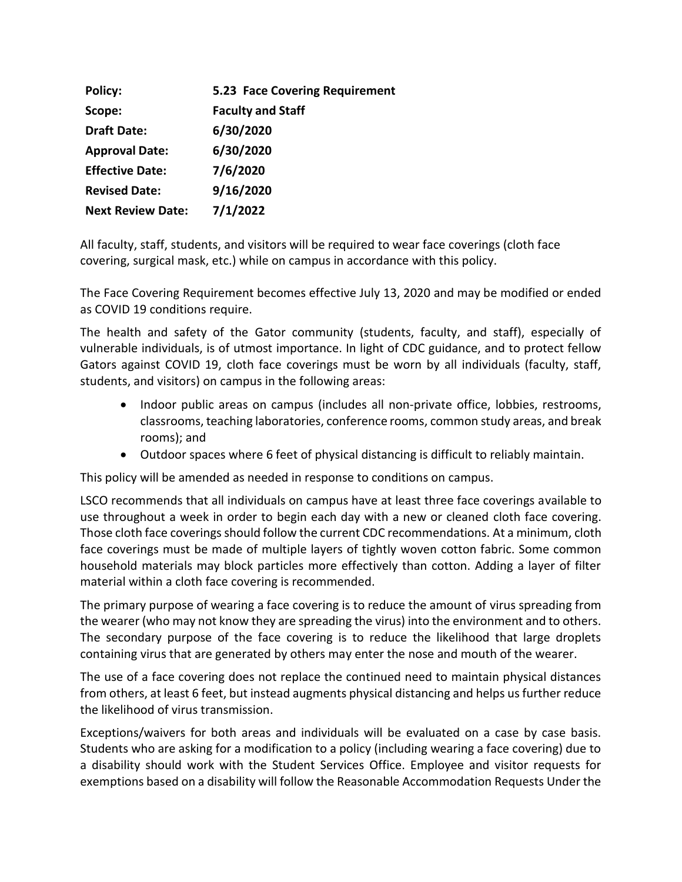| Policy:                  | 5.23 Face Covering Requirement |
|--------------------------|--------------------------------|
| Scope:                   | <b>Faculty and Staff</b>       |
| <b>Draft Date:</b>       | 6/30/2020                      |
| <b>Approval Date:</b>    | 6/30/2020                      |
| <b>Effective Date:</b>   | 7/6/2020                       |
| <b>Revised Date:</b>     | 9/16/2020                      |
| <b>Next Review Date:</b> | 7/1/2022                       |

All faculty, staff, students, and visitors will be required to wear face coverings (cloth face covering, surgical mask, etc.) while on campus in accordance with this policy.

The Face Covering Requirement becomes effective July 13, 2020 and may be modified or ended as COVID 19 conditions require.

The health and safety of the Gator community (students, faculty, and staff), especially of vulnerable individuals, is of utmost importance. In light of CDC guidance, and to protect fellow Gators against COVID 19, cloth face coverings must be worn by all individuals (faculty, staff, students, and visitors) on campus in the following areas:

- Indoor public areas on campus (includes all non-private office, lobbies, restrooms, classrooms, teaching laboratories, conference rooms, common study areas, and break rooms); and
- Outdoor spaces where 6 feet of physical distancing is difficult to reliably maintain.

This policy will be amended as needed in response to conditions on campus.

LSCO recommends that all individuals on campus have at least three face coverings available to use throughout a week in order to begin each day with a new or cleaned cloth face covering. Those cloth face coverings should follow the current CDC recommendations. At a minimum, cloth face coverings must be made of multiple layers of tightly woven cotton fabric. Some common household materials may block particles more effectively than cotton. Adding a layer of filter material within a cloth face covering is recommended.

The primary purpose of wearing a face covering is to reduce the amount of virus spreading from the wearer (who may not know they are spreading the virus) into the environment and to others. The secondary purpose of the face covering is to reduce the likelihood that large droplets containing virus that are generated by others may enter the nose and mouth of the wearer.

The use of a face covering does not replace the continued need to maintain physical distances from others, at least 6 feet, but instead augments physical distancing and helps us further reduce the likelihood of virus transmission.

Exceptions/waivers for both areas and individuals will be evaluated on a case by case basis. Students who are asking for a modification to a policy (including wearing a face covering) due to a disability should work with the Student Services Office. Employee and visitor requests for exemptions based on a disability will follow the Reasonable Accommodation Requests Under the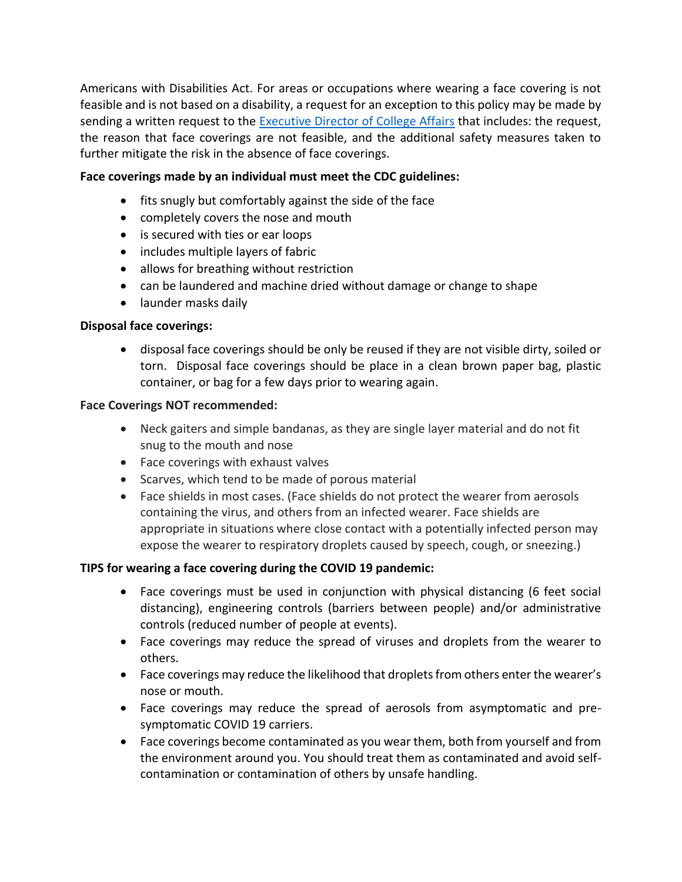Americans with Disabilities Act. For areas or occupations where wearing a face covering is not feasible and is not based on a disability, a request for an exception to this policy may be made by sending a written request to the [Executive Director of College Affairs](mailto:patty.collins@lsco.edu) that includes: the request, the reason that face coverings are not feasible, and the additional safety measures taken to further mitigate the risk in the absence of face coverings.

## **Face coverings made by an individual must meet the CDC guidelines:**

- fits snugly but comfortably against the side of the face
- completely covers the nose and mouth
- is secured with ties or ear loops
- includes multiple layers of fabric
- allows for breathing without restriction
- can be laundered and machine dried without damage or change to shape
- launder masks daily

## **Disposal face coverings:**

• disposal face coverings should be only be reused if they are not visible dirty, soiled or torn. Disposal face coverings should be place in a clean brown paper bag, plastic container, or bag for a few days prior to wearing again.

#### **Face Coverings NOT recommended:**

- Neck gaiters and simple bandanas, as they are single layer material and do not fit snug to the mouth and nose
- Face coverings with exhaust valves
- Scarves, which tend to be made of porous material
- Face shields in most cases. (Face shields do not protect the wearer from aerosols containing the virus, and others from an infected wearer. Face shields are appropriate in situations where close contact with a potentially infected person may expose the wearer to respiratory droplets caused by speech, cough, or sneezing.)

# **TIPS for wearing a face covering during the COVID 19 pandemic:**

- Face coverings must be used in conjunction with physical distancing (6 feet social distancing), engineering controls (barriers between people) and/or administrative controls (reduced number of people at events).
- Face coverings may reduce the spread of viruses and droplets from the wearer to others.
- Face coverings may reduce the likelihood that droplets from others enter the wearer's nose or mouth.
- Face coverings may reduce the spread of aerosols from asymptomatic and presymptomatic COVID 19 carriers.
- Face coverings become contaminated as you wear them, both from yourself and from the environment around you. You should treat them as contaminated and avoid selfcontamination or contamination of others by unsafe handling.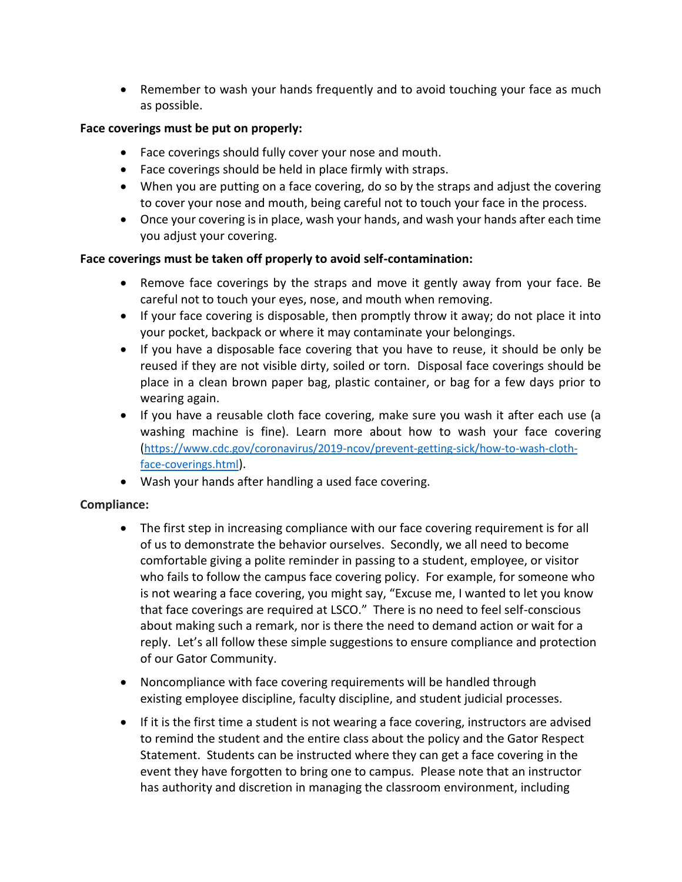• Remember to wash your hands frequently and to avoid touching your face as much as possible.

## **Face coverings must be put on properly:**

- Face coverings should fully cover your nose and mouth.
- Face coverings should be held in place firmly with straps.
- When you are putting on a face covering, do so by the straps and adjust the covering to cover your nose and mouth, being careful not to touch your face in the process.
- Once your covering is in place, wash your hands, and wash your hands after each time you adjust your covering.

## **Face coverings must be taken off properly to avoid self-contamination:**

- Remove face coverings by the straps and move it gently away from your face. Be careful not to touch your eyes, nose, and mouth when removing.
- If your face covering is disposable, then promptly throw it away; do not place it into your pocket, backpack or where it may contaminate your belongings.
- If you have a disposable face covering that you have to reuse, it should be only be reused if they are not visible dirty, soiled or torn. Disposal face coverings should be place in a clean brown paper bag, plastic container, or bag for a few days prior to wearing again.
- If you have a reusable cloth face covering, make sure you wash it after each use (a washing machine is fine). Learn more about how to wash your face covering ([https://www.cdc.gov/coronavirus/2019-ncov/prevent-getting-sick/how-to-wash-cloth](https://www.cdc.gov/coronavirus/2019-ncov/prevent-getting-sick/how-to-wash-cloth-face-coverings.html)[face-coverings.html](https://www.cdc.gov/coronavirus/2019-ncov/prevent-getting-sick/how-to-wash-cloth-face-coverings.html)).
- Wash your hands after handling a used face covering.

# **Compliance:**

- The first step in increasing compliance with our face covering requirement is for all of us to demonstrate the behavior ourselves. Secondly, we all need to become comfortable giving a polite reminder in passing to a student, employee, or visitor who fails to follow the campus face covering policy. For example, for someone who is not wearing a face covering, you might say, "Excuse me, I wanted to let you know that face coverings are required at LSCO." There is no need to feel self-conscious about making such a remark, nor is there the need to demand action or wait for a reply. Let's all follow these simple suggestions to ensure compliance and protection of our Gator Community.
- Noncompliance with face covering requirements will be handled through existing employee discipline, faculty discipline, and student judicial processes.
- If it is the first time a student is not wearing a face covering, instructors are advised to remind the student and the entire class about the policy and the Gator Respect Statement. Students can be instructed where they can get a face covering in the event they have forgotten to bring one to campus. Please note that an instructor has authority and discretion in managing the classroom environment, including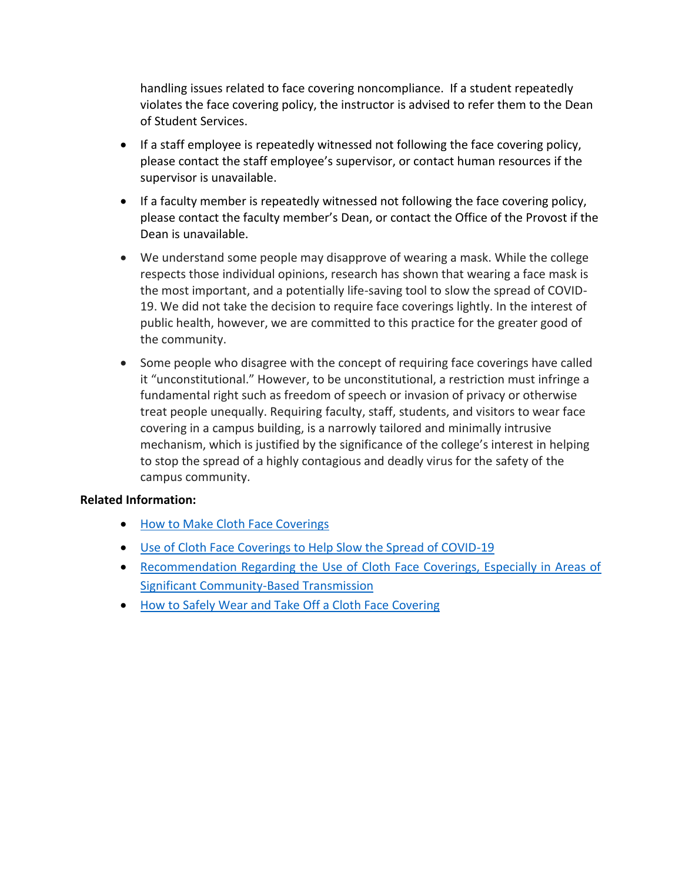handling issues related to face covering noncompliance. If a student repeatedly violates the face covering policy, the instructor is advised to refer them to the Dean of Student Services.

- If a staff employee is repeatedly witnessed not following the face covering policy, please contact the staff employee's supervisor, or contact human resources if the supervisor is unavailable.
- If a faculty member is repeatedly witnessed not following the face covering policy, please contact the faculty member's Dean, or contact the Office of the Provost if the Dean is unavailable.
- We understand some people may disapprove of wearing a mask. While the college respects those individual opinions, research has shown that wearing a face mask is the most important, and a potentially life-saving tool to slow the spread of COVID-19. We did not take the decision to require face coverings lightly. In the interest of public health, however, we are committed to this practice for the greater good of the community.
- Some people who disagree with the concept of requiring face coverings have called it "unconstitutional." However, to be unconstitutional, a restriction must infringe a fundamental right such as freedom of speech or invasion of privacy or otherwise treat people unequally. Requiring faculty, staff, students, and visitors to wear face covering in a campus building, is a narrowly tailored and minimally intrusive mechanism, which is justified by the significance of the college's interest in helping to stop the spread of a highly contagious and deadly virus for the safety of the campus community.

#### **Related Information:**

- [How to Make Cloth Face Coverings](https://www.cdc.gov/coronavirus/2019-ncov/prevent-getting-sick/how-to-make-cloth-face-covering.html)
- [Use of Cloth Face Coverings to Help Slow the Spread of COVID-19](https://www.cdc.gov/coronavirus/2019-ncov/prevent-getting-sick/diy-cloth-face-coverings.html)
- [Recommendation Regarding the Use of Cloth Face Coverings, Especially in Areas of](file://///datastore/pcollins3/Human%20Resources/Administrative%20Policies%20and%20Procedures/Policy%20Changes%20FY2018/•%09https:/www.cdc.gov/coronavirus/2019-ncov/prevent-getting-sick/cloth-face-cover.html)  [Significant Community-Based Transmission](file://///datastore/pcollins3/Human%20Resources/Administrative%20Policies%20and%20Procedures/Policy%20Changes%20FY2018/•%09https:/www.cdc.gov/coronavirus/2019-ncov/prevent-getting-sick/cloth-face-cover.html)
- [How to Safely Wear and Take Off a Cloth Face Covering](file://///datastore/pcollins3/Human%20Resources/Administrative%20Policies%20and%20Procedures/Policy%20Changes%20FY2018/•%09https:/www.cdc.gov/coronavirus/2019-ncov/downloads/cloth-face-covering.pdf)